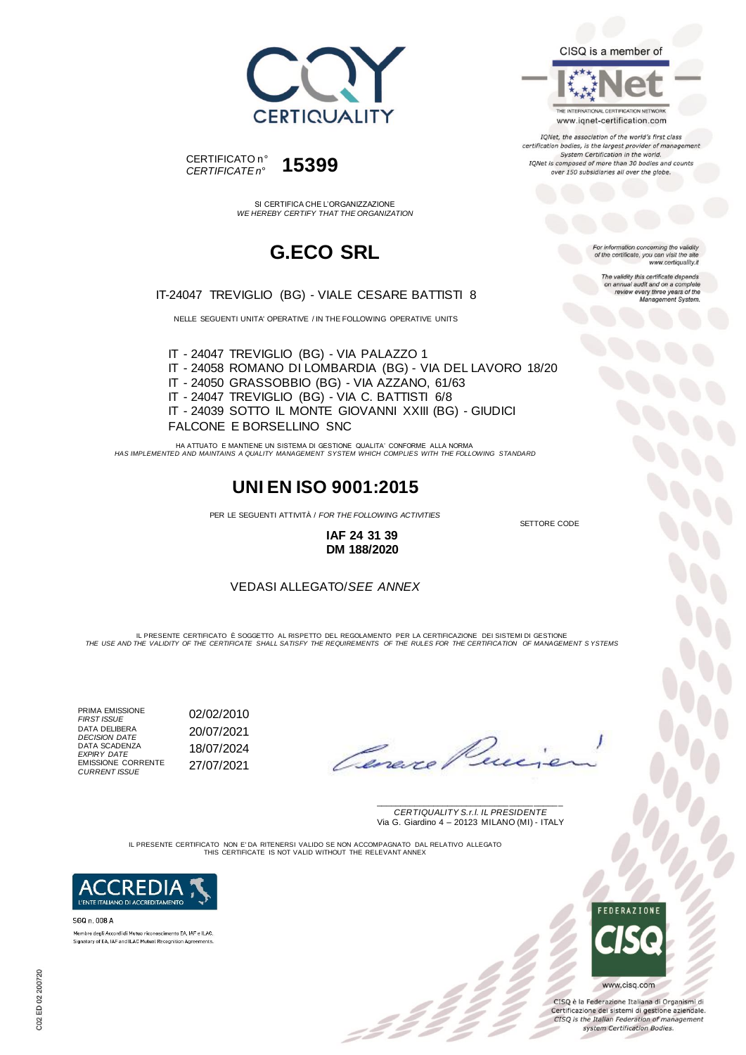



SI CERTIFICA CHE L'ORGANIZZAZIONE *WE HEREBY CERTIFY THAT THE ORGANIZATION*

## **G.ECO SRL**

IT-24047 TREVIGLIO (BG) - VIALE CESARE BATTISTI 8

NELLE SEGUENTI UNITA' OPERATIVE / IN THE FOLLOWING OPERATIVE UNITS

IT - 24047 TREVIGLIO (BG) - VIA PALAZZO 1 IT - 24058 ROMANO DI LOMBARDIA (BG) - VIA DEL LAVORO 18/20 IT - 24050 GRASSOBBIO (BG) - VIA AZZANO, 61/63 IT - 24047 TREVIGLIO (BG) - VIA C. BATTISTI 6/8 IT - 24039 SOTTO IL MONTE GIOVANNI XXIII (BG) - GIUDICI FALCONE E BORSELLINO SNC

HA ATTUATO E MANTIENE UN SISTEMA DI GESTIONE QUALITA' CONFORME ALLA NORMA *HAS IMPLEMENTED AND MAINTAINS A QUALITY MANAGEMENT SYSTEM WHICH COMPLIES WITH THE FOLLOWING STANDARD*

### **UNI EN ISO 9001:2015**

PER LE SEGUENTI ATTIVITÀ / *FOR THE FOLLOWING ACTIVITIES*

**IAF 24 31 39 DM 188/2020**

#### VEDASI ALLEGATO/*SEE ANNEX*

IL PRESENTE CERTIFICATO E SOGGETTO AL RISPETTO DEL REGOLAMENTO PER LA CERTIFICAZIONE DEI SISTEMI DI GESTIONE<br>THE USE AND THE VALIDITY OF THE CERTIFICATE SHALL SATISFY THE REQUIREMENTS OF THE RULES FOR THE CERTIFICATION OF

PRIMA EMISSIONE<br>FIRST ISSUE DATA DELIBERA *DECISION DATE* 20/07/2021 DATA SCADENZA *EXPIRY DATE* 18/07/2024 EMISSIONE CORRENTE *CURRENT ISSUE* 27/07/2021

*FIRST ISSUE* 02/02/2010

SETTORE CODE

\_\_\_\_\_\_\_\_\_\_\_\_\_\_\_\_\_\_\_\_\_\_\_\_\_\_\_\_\_\_\_\_\_\_\_\_\_\_\_ *CERTIQUALITY S.r.l. IL PRESIDENTE* Via G. Giardino 4 – 20123 MILANO (MI) - ITALY

IL PRESENTE CERTIFICATO NON E' DA RITENERSI VALIDO SE NON ACCOMPAGNATO DAL RELATIVO ALLEGATO THIS CERTIFICATE IS NOT VALID WITHOUT THE RELEVANT ANNEX



SGQ n. 008 A Membro degli Accordi di Mutuo riconoscimento EA, IAF e ILAC Signatory of EA, IAF and ILAC Mutual Recognition Agreements

**FEDERAZIONE** www.cisq.com

CISQ è la Federazione Italiana di Organismi di Certificazione dei sistemi di gestione aziendale.<br>CISQ is the Italian Federation of management system Certification Bodies.

CISQ is a member of

THE INTERNATIONAL CERTIFICATION NETWORK www.iqnet-certification.com

IQNet, the association of the world's first class certification bodies, is the largest provider of management System Certification in the world. IONet is composed of more than 30 bodies and counts over 150 subsidiaries all over the globe.

> For information concerning the validity<br>of the certificate, you can visit the site www.certiquality.it

The validity this certificate depends validity this certificate depends<br>annual audit and on a complete<br>review every three years of the<br>Management System.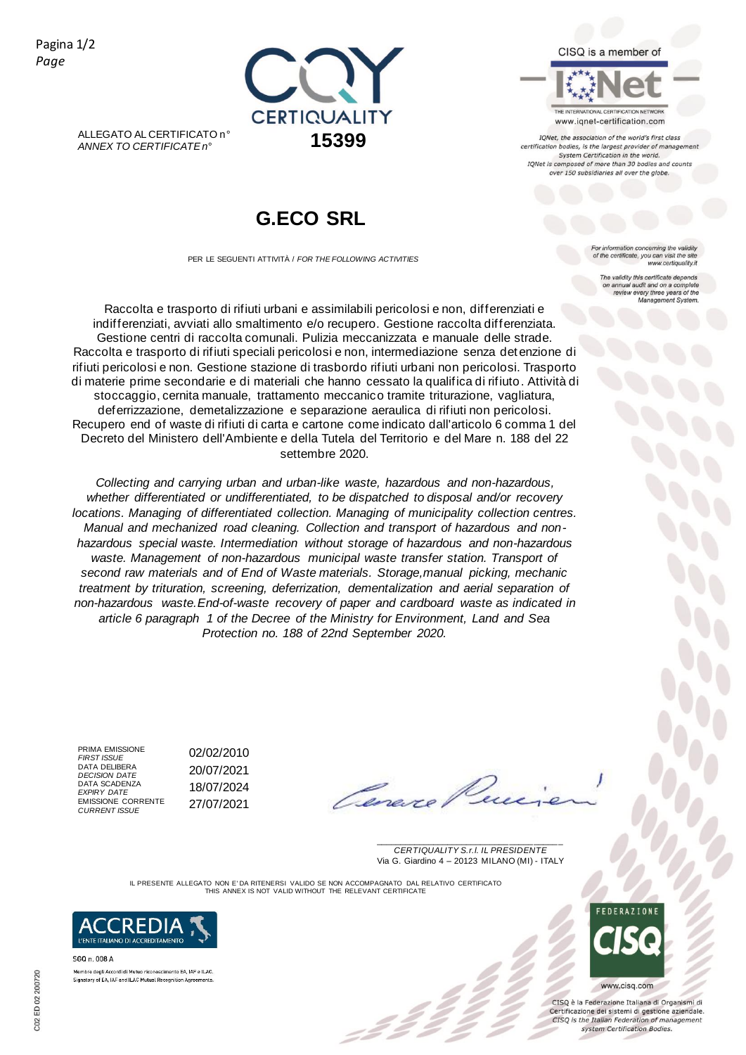Pagina 1/2 *Page*



ALLEGATO AL CERTIFICATO n° *ANNEX TO CERTIFICATE n°* **15399**

## **G.ECO SRL**

PER LE SEGUENTI ATTIVITÀ / *FOR THE FOLLOWING ACTIVITIES*

Raccolta e trasporto di rifiuti urbani e assimilabili pericolosi e non, differenziati e indifferenziati, avviati allo smaltimento e/o recupero. Gestione raccolta differenziata. Gestione centri di raccolta comunali. Pulizia meccanizzata e manuale delle strade. Raccolta e trasporto di rifiuti speciali pericolosi e non, intermediazione senza detenzione di rifiuti pericolosi e non. Gestione stazione di trasbordo rifiuti urbani non pericolosi. Trasporto di materie prime secondarie e di materiali che hanno cessato la qualifica di rifiuto. Attività di stoccaggio, cernita manuale, trattamento meccanico tramite triturazione, vagliatura, deferrizzazione, demetalizzazione e separazione aeraulica di rifiuti non pericolosi. Recupero end of waste di rifiuti di carta e cartone come indicato dall'articolo 6 comma 1 del Decreto del Ministero dell'Ambiente e della Tutela del Territorio e del Mare n. 188 del 22 settembre 2020.

*Collecting and carrying urban and urban-like waste, hazardous and non-hazardous, whether differentiated or undifferentiated, to be dispatched to disposal and/or recovery locations. Managing of differentiated collection. Managing of municipality collection centres. Manual and mechanized road cleaning. Collection and transport of hazardous and nonhazardous special waste. Intermediation without storage of hazardous and non-hazardous*  waste. Management of non-hazardous municipal waste transfer station. Transport of *second raw materials and of End of Waste materials. Storage,manual picking, mechanic treatment by trituration, screening, deferrization, dementalization and aerial separation of non-hazardous waste.End-of-waste recovery of paper and cardboard waste as indicated in article 6 paragraph 1 of the Decree of the Ministry for Environment, Land and Sea Protection no. 188 of 22nd September 2020.*

PRIMA EMISSIONE<br>FIRST ISSUE DATA DELIBERA DATA SCADENZA EMISSIONE CORRENTE *CURRENT ISSUE* 27/07/2021

*FIRST ISSUE* 02/02/2010 *DECISION DATE* 20/07/2021 *EXPIRY DATE* 18/07/2024

Cerevie

\_\_\_\_\_\_\_\_\_\_\_\_\_\_\_\_\_\_\_\_\_\_\_\_\_\_\_\_\_\_\_\_\_\_\_\_\_\_\_ *CERTIQUALITY S.r.l. IL PRESIDENTE* Via G. Giardino 4 – 20123 MILANO (MI) - ITALY

IL PRESENTE ALLEGATO NON E' DA RITENERSI VALIDO SE NON ACCOMPAGNATO DAL RELATIVO CERTIFICATO THIS ANNEX IS NOT VALID WITHOUT THE RELEVANT CERTIFICATE

22



SGQ n. 008 A Membro degli Accordi di Mutuo riconoscimento EA, IAF e ILAC Signatory of EA, IAF and ILAC Mutual Recognition Agreements CISQ is a member of

www.iqnet-certification.com

IQNet, the association of the world's first class certification bodies, is the largest provider of management<br>System Certification in the world. IONet is composed of more than 30 bodies and counts over 150 subsidiaries all over the globe.

> information concerning the validity of the certificate, you can visit the s www.certiquality.it

The validity this certificate de validity this centricate depends<br>annual audit and on a complete<br>review every three years of the<br>Management System.

www.cisq.com

FEDERAZIONE

CISQ è la Federazione Italiana di Organismi di Certificazione dei sistemi di gestione aziendale.<br>CISQ is the Italian Federation of management system Certification Bodies.